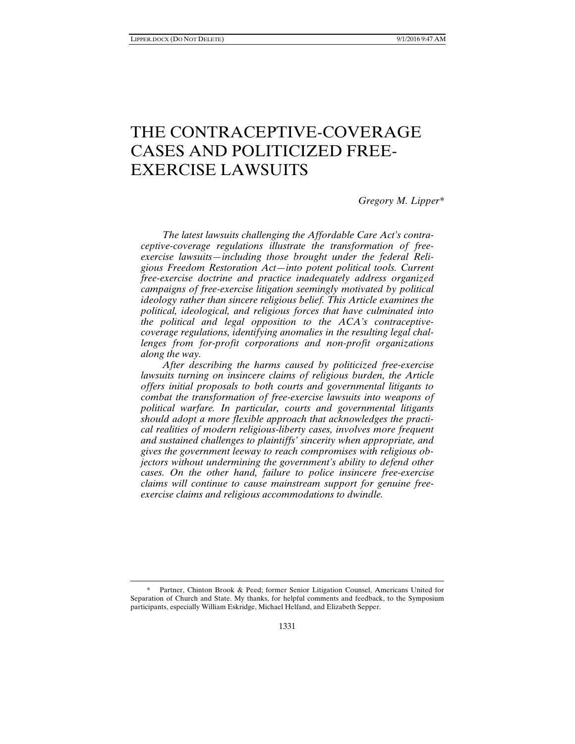-

# THE CONTRACEPTIVE-COVERAGE CASES AND POLITICIZED FREE-EXERCISE LAWSUITS

## *Gregory M. Lipper\**

*The latest lawsuits challenging the Affordable Care Act's contraceptive-coverage regulations illustrate the transformation of freeexercise lawsuits—including those brought under the federal Religious Freedom Restoration Act—into potent political tools. Current free-exercise doctrine and practice inadequately address organized campaigns of free-exercise litigation seemingly motivated by political ideology rather than sincere religious belief. This Article examines the political, ideological, and religious forces that have culminated into the political and legal opposition to the ACA's contraceptivecoverage regulations, identifying anomalies in the resulting legal challenges from for-profit corporations and non-profit organizations along the way.* 

*After describing the harms caused by politicized free-exercise lawsuits turning on insincere claims of religious burden, the Article offers initial proposals to both courts and governmental litigants to combat the transformation of free-exercise lawsuits into weapons of political warfare. In particular, courts and governmental litigants should adopt a more flexible approach that acknowledges the practical realities of modern religious-liberty cases, involves more frequent and sustained challenges to plaintiffs' sincerity when appropriate, and gives the government leeway to reach compromises with religious objectors without undermining the government's ability to defend other cases. On the other hand, failure to police insincere free-exercise claims will continue to cause mainstream support for genuine freeexercise claims and religious accommodations to dwindle.* 

<sup>\*</sup> Partner, Chinton Brook & Peed; former Senior Litigation Counsel, Americans United for Separation of Church and State. My thanks, for helpful comments and feedback, to the Symposium participants, especially William Eskridge, Michael Helfand, and Elizabeth Sepper.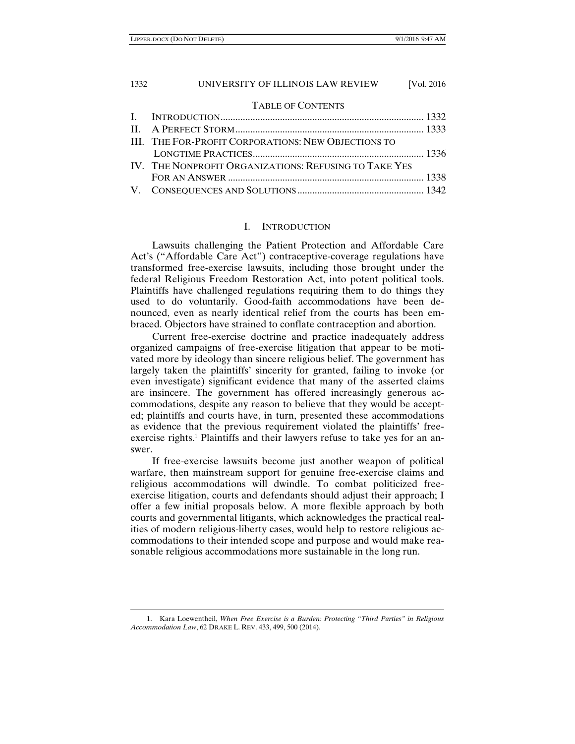## TABLE OF CONTENTS

| <b>III. THE FOR-PROFIT CORPORATIONS: NEW OBJECTIONS TO</b> |  |
|------------------------------------------------------------|--|
|                                                            |  |
| IV. THE NONPROFIT ORGANIZATIONS: REFUSING TO TAKE YES      |  |
|                                                            |  |
|                                                            |  |
|                                                            |  |

## I. INTRODUCTION

Lawsuits challenging the Patient Protection and Affordable Care Act's ("Affordable Care Act") contraceptive-coverage regulations have transformed free-exercise lawsuits, including those brought under the federal Religious Freedom Restoration Act, into potent political tools. Plaintiffs have challenged regulations requiring them to do things they used to do voluntarily. Good-faith accommodations have been denounced, even as nearly identical relief from the courts has been embraced. Objectors have strained to conflate contraception and abortion.

Current free-exercise doctrine and practice inadequately address organized campaigns of free-exercise litigation that appear to be motivated more by ideology than sincere religious belief. The government has largely taken the plaintiffs' sincerity for granted, failing to invoke (or even investigate) significant evidence that many of the asserted claims are insincere. The government has offered increasingly generous accommodations, despite any reason to believe that they would be accepted; plaintiffs and courts have, in turn, presented these accommodations as evidence that the previous requirement violated the plaintiffs' freeexercise rights.<sup>1</sup> Plaintiffs and their lawyers refuse to take yes for an answer.

If free-exercise lawsuits become just another weapon of political warfare, then mainstream support for genuine free-exercise claims and religious accommodations will dwindle. To combat politicized freeexercise litigation, courts and defendants should adjust their approach; I offer a few initial proposals below. A more flexible approach by both courts and governmental litigants, which acknowledges the practical realities of modern religious-liberty cases, would help to restore religious accommodations to their intended scope and purpose and would make reasonable religious accommodations more sustainable in the long run.

<sup>1.</sup> Kara Loewentheil, *When Free Exercise is a Burden: Protecting "Third Parties" in Religious Accommodation Law*, 62 DRAKE L. REV. 433, 499, 500 (2014).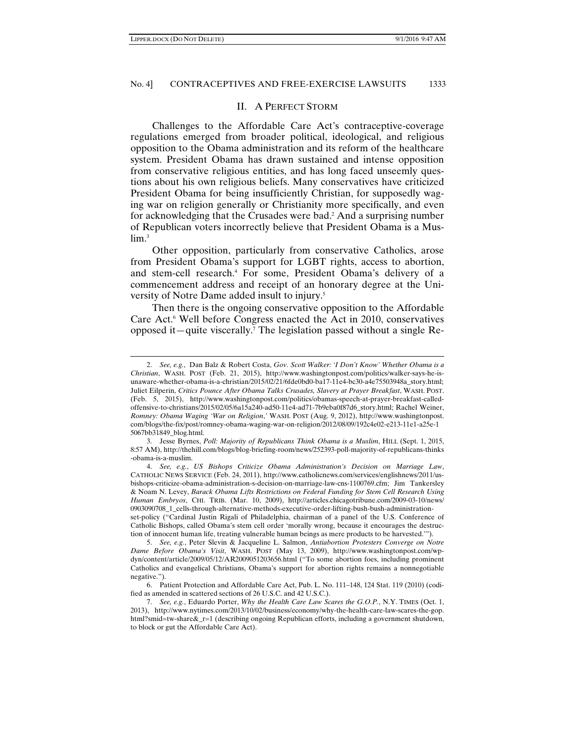$\overline{a}$ 

#### No. 4] CONTRACEPTIVES AND FREE-EXERCISE LAWSUITS 1333

#### II. A PERFECT STORM

Challenges to the Affordable Care Act's contraceptive-coverage regulations emerged from broader political, ideological, and religious opposition to the Obama administration and its reform of the healthcare system. President Obama has drawn sustained and intense opposition from conservative religious entities, and has long faced unseemly questions about his own religious beliefs. Many conservatives have criticized President Obama for being insufficiently Christian, for supposedly waging war on religion generally or Christianity more specifically, and even for acknowledging that the Crusades were bad.<sup>2</sup> And a surprising number of Republican voters incorrectly believe that President Obama is a Muslim.<sup>3</sup>

Other opposition, particularly from conservative Catholics, arose from President Obama's support for LGBT rights, access to abortion, and stem-cell research.4 For some, President Obama's delivery of a commencement address and receipt of an honorary degree at the University of Notre Dame added insult to injury.5

Then there is the ongoing conservative opposition to the Affordable Care Act.<sup>6</sup> Well before Congress enacted the Act in 2010, conservatives opposed it—quite viscerally.7 The legislation passed without a single Re-

<sup>2.</sup> *See, e.g.*, Dan Balz & Robert Costa, *Gov. Scott Walker: 'I Don't Know' Whether Obama is a Christian*, WASH. POST (Feb. 21, 2015), http://www.washingtonpost.com/politics/walker-says-he-isunaware-whether-obama-is-a-christian/2015/02/21/6fde0bd0-ba17-11e4-bc30-a4e75503948a\_story.html; Juliet Eilperin, *Critics Pounce After Obama Talks Crusades, Slavery at Prayer Breakfast*, WASH. POST. (Feb. 5, 2015), http://www.washingtonpost.com/politics/obamas-speech-at-prayer-breakfast-calledoffensive-to-christians/2015/02/05/6a15a240-ad50-11e4-ad71-7b9eba0f87d6\_story.html; Rachel Weiner, *Romney: Obama Waging 'War on Religion*,*'* WASH. POST (Aug. 9, 2012), http://www.washingtonpost. com/blogs/the-fix/post/romney-obama-waging-war-on-religion/2012/08/09/192c4e02-e213-11e1-a25e-1 5067bb31849\_blog.html.

 <sup>3.</sup> Jesse Byrnes, *Poll: Majority of Republicans Think Obama is a Muslim*, HILL (Sept. 1, 2015, 8:57 AM), http://thehill.com/blogs/blog-briefing-room/news/252393-poll-majority-of-republicans-thinks -obama-is-a-muslim.

 <sup>4.</sup> *See, e.g.*, *US Bishops Criticize Obama Administration's Decision on Marriage Law*, CATHOLIC NEWS SERVICE (Feb. 24, 2011), http://www.catholicnews.com/services/englishnews/2011/usbishops-criticize-obama-administration-s-decision-on-marriage-law-cns-1100769.cfm; Jim Tankersley & Noam N. Levey, *Barack Obama Lifts Restrictions on Federal Funding for Stem Cell Research Using Human Embryos*, CHI. TRIB. (Mar. 10, 2009), http://articles.chicagotribune.com/2009-03-10/news/ 0903090708\_1\_cells-through-alternative-methods-executive-order-lifting-bush-bush-administrationset-policy ("Cardinal Justin Rigali of Philadelphia, chairman of a panel of the U.S. Conference of

Catholic Bishops, called Obama's stem cell order 'morally wrong, because it encourages the destruction of innocent human life, treating vulnerable human beings as mere products to be harvested.'").

 <sup>5.</sup> *See, e.g.*, Peter Slevin & Jacqueline L. Salmon, *Antiabortion Protesters Converge on Notre Dame Before Obama's Visit*, WASH. POST (May 13, 2009), http://www.washingtonpost.com/wpdyn/content/article/2009/05/12/AR2009051203656.html ("To some abortion foes, including prominent Catholics and evangelical Christians, Obama's support for abortion rights remains a nonnegotiable negative.").

 <sup>6.</sup> Patient Protection and Affordable Care Act, Pub. L. No. 111–148, 124 Stat. 119 (2010) (codified as amended in scattered sections of 26 U.S.C. and 42 U.S.C.).

 <sup>7.</sup> *See, e.g.*, Eduardo Porter, *Why the Health Care Law Scares the G.O.P.*, N.Y. TIMES (Oct. 1, 2013), http://www.nytimes.com/2013/10/02/business/economy/why-the-health-care-law-scares-the-gop. html?smid=tw-share&\_r=1 (describing ongoing Republican efforts, including a government shutdown, to block or gut the Affordable Care Act).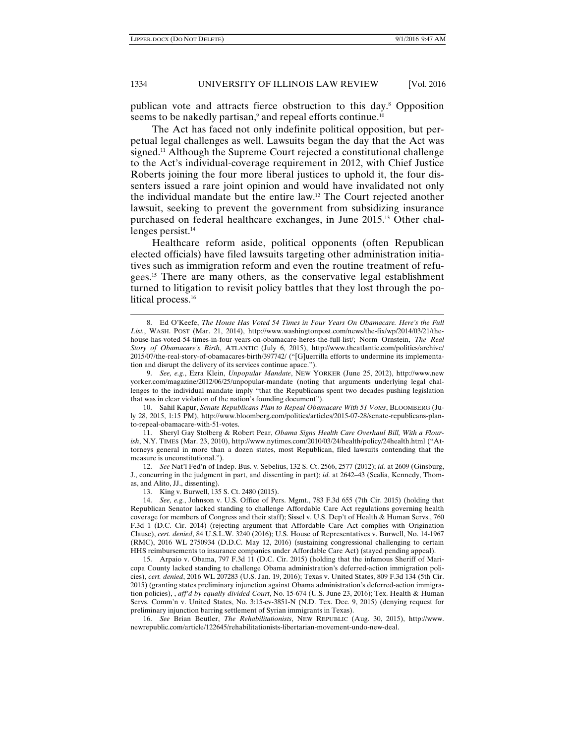$\overline{a}$ 

#### 1334 UNIVERSITY OF ILLINOIS LAW REVIEW [Vol. 2016

publican vote and attracts fierce obstruction to this day.8 Opposition seems to be nakedly partisan,<sup>9</sup> and repeal efforts continue.<sup>10</sup>

The Act has faced not only indefinite political opposition, but perpetual legal challenges as well. Lawsuits began the day that the Act was signed.<sup>11</sup> Although the Supreme Court rejected a constitutional challenge to the Act's individual-coverage requirement in 2012, with Chief Justice Roberts joining the four more liberal justices to uphold it, the four dissenters issued a rare joint opinion and would have invalidated not only the individual mandate but the entire law.12 The Court rejected another lawsuit, seeking to prevent the government from subsidizing insurance purchased on federal healthcare exchanges, in June 2015.13 Other challenges persist.<sup>14</sup>

Healthcare reform aside, political opponents (often Republican elected officials) have filed lawsuits targeting other administration initiatives such as immigration reform and even the routine treatment of refugees.15 There are many others, as the conservative legal establishment turned to litigation to revisit policy battles that they lost through the political process.<sup>16</sup>

 11. Sheryl Gay Stolberg & Robert Pear, *Obama Signs Health Care Overhaul Bill, With a Flourish*, N.Y. TIMES (Mar. 23, 2010), http://www.nytimes.com/2010/03/24/health/policy/24health.html ("Attorneys general in more than a dozen states, most Republican, filed lawsuits contending that the measure is unconstitutional.").

 12. *See* Nat'l Fed'n of Indep. Bus. v. Sebelius, 132 S. Ct. 2566, 2577 (2012); *id.* at 2609 (Ginsburg, J., concurring in the judgment in part, and dissenting in part); *id.* at 2642–43 (Scalia, Kennedy, Thomas, and Alito, JJ., dissenting).

13. King v. Burwell, 135 S. Ct. 2480 (2015).

<sup>8.</sup> Ed O'Keefe, *The House Has Voted 54 Times in Four Years On Obamacare. Here's the Full List.*, WASH. POST (Mar. 21, 2014), http://www.washingtonpost.com/news/the-fix/wp/2014/03/21/thehouse-has-voted-54-times-in-four-years-on-obamacare-heres-the-full-list/; Norm Ornstein, *The Real Story of Obamacare's Birth*, ATLANTIC (July 6, 2015), http://www.theatlantic.com/politics/archive/ 2015/07/the-real-story-of-obamacares-birth/397742/ ("[G]uerrilla efforts to undermine its implementation and disrupt the delivery of its services continue apace.").

 <sup>9.</sup> *See, e.g.*, Ezra Klein, *Unpopular Mandate*, NEW YORKER (June 25, 2012), http://www.new yorker.com/magazine/2012/06/25/unpopular-mandate (noting that arguments underlying legal challenges to the individual mandate imply "that the Republicans spent two decades pushing legislation that was in clear violation of the nation's founding document").

 <sup>10.</sup> Sahil Kapur, *Senate Republicans Plan to Repeal Obamacare With 51 Votes*, BLOOMBERG (July 28, 2015, 1:15 PM), http://www.bloomberg.com/politics/articles/2015-07-28/senate-republicans-planto-repeal-obamacare-with-51-votes.

 <sup>14.</sup> *See, e.g.*, Johnson v. U.S. Office of Pers. Mgmt., 783 F.3d 655 (7th Cir. 2015) (holding that Republican Senator lacked standing to challenge Affordable Care Act regulations governing health coverage for members of Congress and their staff); Sissel v. U.S. Dep't of Health & Human Servs., 760 F.3d 1 (D.C. Cir. 2014) (rejecting argument that Affordable Care Act complies with Origination Clause), *cert. denied*, 84 U.S.L.W. 3240 (2016); U.S. House of Representatives v. Burwell, No. 14-1967 (RMC), 2016 WL 2750934 (D.D.C. May 12, 2016) (sustaining congressional challenging to certain HHS reimbursements to insurance companies under Affordable Care Act) (stayed pending appeal).

 <sup>15.</sup> Arpaio v. Obama, 797 F.3d 11 (D.C. Cir. 2015) (holding that the infamous Sheriff of Maricopa County lacked standing to challenge Obama administration's deferred-action immigration policies), *cert. denied*, 2016 WL 207283 (U.S. Jan. 19, 2016); Texas v. United States, 809 F.3d 134 (5th Cir. 2015) (granting states preliminary injunction against Obama administration's deferred-action immigration policies), , *aff'd by equally divided Court*, No. 15-674 (U.S. June 23, 2016); Tex. Health & Human Servs. Comm'n v. United States, No. 3:15-cv-3851-N (N.D. Tex. Dec. 9, 2015) (denying request for preliminary injunction barring settlement of Syrian immigrants in Texas).

 <sup>16.</sup> *See* Brian Beutler, *The Rehabilitationists*, NEW REPUBLIC (Aug. 30, 2015), http://www. newrepublic.com/article/122645/rehabilitationists-libertarian-movement-undo-new-deal.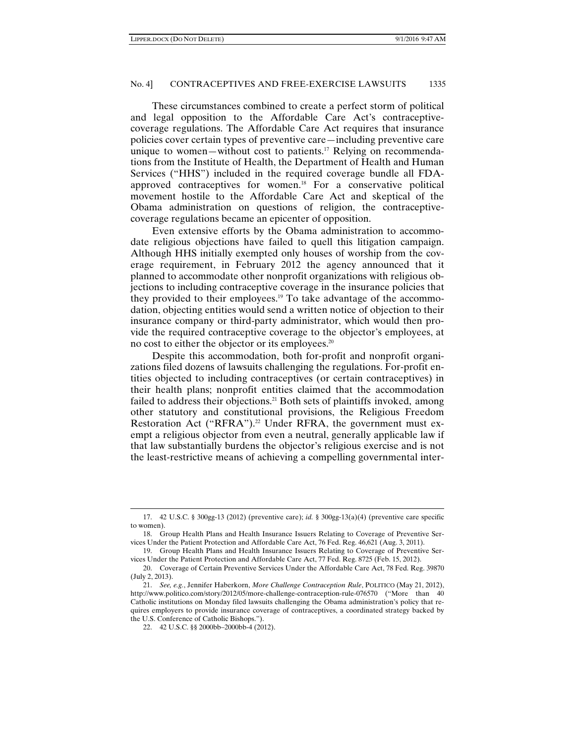These circumstances combined to create a perfect storm of political and legal opposition to the Affordable Care Act's contraceptivecoverage regulations. The Affordable Care Act requires that insurance policies cover certain types of preventive care—including preventive care unique to women—without cost to patients.<sup>17</sup> Relying on recommendations from the Institute of Health, the Department of Health and Human Services ("HHS") included in the required coverage bundle all FDAapproved contraceptives for women.18 For a conservative political movement hostile to the Affordable Care Act and skeptical of the Obama administration on questions of religion, the contraceptivecoverage regulations became an epicenter of opposition.

Even extensive efforts by the Obama administration to accommodate religious objections have failed to quell this litigation campaign. Although HHS initially exempted only houses of worship from the coverage requirement, in February 2012 the agency announced that it planned to accommodate other nonprofit organizations with religious objections to including contraceptive coverage in the insurance policies that they provided to their employees.19 To take advantage of the accommodation, objecting entities would send a written notice of objection to their insurance company or third-party administrator, which would then provide the required contraceptive coverage to the objector's employees, at no cost to either the objector or its employees.<sup>20</sup>

Despite this accommodation, both for-profit and nonprofit organizations filed dozens of lawsuits challenging the regulations. For-profit entities objected to including contraceptives (or certain contraceptives) in their health plans; nonprofit entities claimed that the accommodation failed to address their objections.<sup>21</sup> Both sets of plaintiffs invoked, among other statutory and constitutional provisions, the Religious Freedom Restoration Act ("RFRA").<sup>22</sup> Under RFRA, the government must exempt a religious objector from even a neutral, generally applicable law if that law substantially burdens the objector's religious exercise and is not the least-restrictive means of achieving a compelling governmental inter-

<sup>17. 42</sup> U.S.C. § 300gg-13 (2012) (preventive care); *id.* § 300gg-13(a)(4) (preventive care specific to women).

 <sup>18.</sup> Group Health Plans and Health Insurance Issuers Relating to Coverage of Preventive Services Under the Patient Protection and Affordable Care Act, 76 Fed. Reg. 46,621 (Aug. 3, 2011).

 <sup>19.</sup> Group Health Plans and Health Insurance Issuers Relating to Coverage of Preventive Services Under the Patient Protection and Affordable Care Act, 77 Fed. Reg. 8725 (Feb. 15, 2012).

 <sup>20.</sup> Coverage of Certain Preventive Services Under the Affordable Care Act, 78 Fed. Reg. 39870 (July 2, 2013).

 <sup>21.</sup> *See, e.g.*, Jennifer Haberkorn, *More Challenge Contraception Rule*, POLITICO (May 21, 2012), http://www.politico.com/story/2012/05/more-challenge-contraception-rule-076570 ("More than 40 Catholic institutions on Monday filed lawsuits challenging the Obama administration's policy that requires employers to provide insurance coverage of contraceptives, a coordinated strategy backed by the U.S. Conference of Catholic Bishops.").

 <sup>22. 42</sup> U.S.C. §§ 2000bb–2000bb-4 (2012).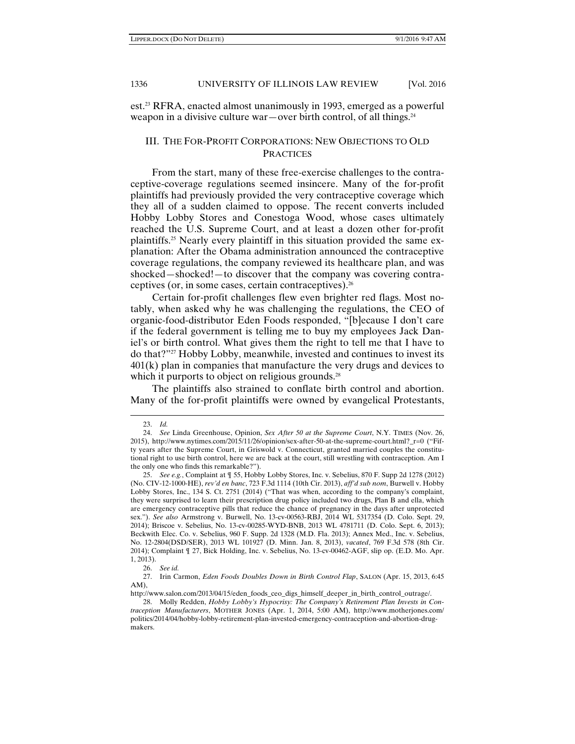est.23 RFRA, enacted almost unanimously in 1993, emerged as a powerful weapon in a divisive culture war—over birth control, of all things.<sup>24</sup>

## III. THE FOR-PROFIT CORPORATIONS: NEW OBJECTIONS TO OLD **PRACTICES**

From the start, many of these free-exercise challenges to the contraceptive-coverage regulations seemed insincere. Many of the for-profit plaintiffs had previously provided the very contraceptive coverage which they all of a sudden claimed to oppose. The recent converts included Hobby Lobby Stores and Conestoga Wood, whose cases ultimately reached the U.S. Supreme Court, and at least a dozen other for-profit plaintiffs.25 Nearly every plaintiff in this situation provided the same explanation: After the Obama administration announced the contraceptive coverage regulations, the company reviewed its healthcare plan, and was shocked—shocked!—to discover that the company was covering contraceptives (or, in some cases, certain contraceptives).26

Certain for-profit challenges flew even brighter red flags. Most notably, when asked why he was challenging the regulations, the CEO of organic-food-distributor Eden Foods responded, "[b]ecause I don't care if the federal government is telling me to buy my employees Jack Daniel's or birth control. What gives them the right to tell me that I have to do that?"27 Hobby Lobby, meanwhile, invested and continues to invest its  $401(k)$  plan in companies that manufacture the very drugs and devices to which it purports to object on religious grounds.<sup>28</sup>

The plaintiffs also strained to conflate birth control and abortion. Many of the for-profit plaintiffs were owned by evangelical Protestants,

<sup>23.</sup> *Id.*

 <sup>24.</sup> *See* Linda Greenhouse, Opinion, *Sex After 50 at the Supreme Court*, N.Y. TIMES (Nov. 26, 2015), http://www.nytimes.com/2015/11/26/opinion/sex-after-50-at-the-supreme-court.html?\_r=0 ("Fifty years after the Supreme Court, in Griswold v. Connecticut, granted married couples the constitutional right to use birth control, here we are back at the court, still wrestling with contraception. Am I the only one who finds this remarkable?").

 <sup>25.</sup> *See e.g.*, Complaint at ¶ 55, Hobby Lobby Stores, Inc. v. Sebelius, 870 F. Supp 2d 1278 (2012) (No. CIV-12-1000-HE), *rev'd en banc*, 723 F.3d 1114 (10th Cir. 2013), *aff'd sub nom*, Burwell v. Hobby Lobby Stores, Inc., 134 S. Ct. 2751 (2014) ("That was when, according to the company's complaint, they were surprised to learn their prescription drug policy included two drugs, Plan B and ella, which are emergency contraceptive pills that reduce the chance of pregnancy in the days after unprotected sex."). *See also* Armstrong v. Burwell, No. 13-cv-00563-RBJ, 2014 WL 5317354 (D. Colo. Sept. 29, 2014); Briscoe v. Sebelius, No. 13-cv-00285-WYD-BNB, 2013 WL 4781711 (D. Colo. Sept. 6, 2013); Beckwith Elec. Co. v. Sebelius, 960 F. Supp. 2d 1328 (M.D. Fla. 2013); Annex Med., Inc. v. Sebelius, No. 12-2804(DSD/SER), 2013 WL 101927 (D. Minn. Jan. 8, 2013), *vacated*, 769 F.3d 578 (8th Cir. 2014); Complaint ¶ 27, Bick Holding, Inc. v. Sebelius, No. 13-cv-00462-AGF, slip op. (E.D. Mo. Apr. 1, 2013).

 <sup>26.</sup> *See id.*

 <sup>27.</sup> Irin Carmon, *Eden Foods Doubles Down in Birth Control Flap*, SALON (Apr. 15, 2013, 6:45 AM),

http://www.salon.com/2013/04/15/eden\_foods\_ceo\_digs\_himself\_deeper\_in\_birth\_control\_outrage/.

 <sup>28.</sup> Molly Redden, *Hobby Lobby's Hypocrisy: The Company's Retirement Plan Invests in Contraception Manufacturers*, MOTHER JONES (Apr. 1, 2014, 5:00 AM), http://www.motherjones.com/ politics/2014/04/hobby-lobby-retirement-plan-invested-emergency-contraception-and-abortion-drugmakers.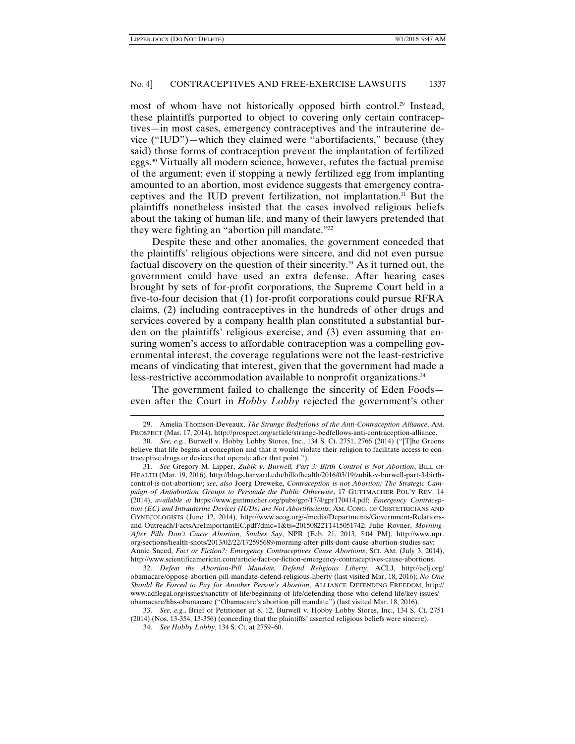$\overline{a}$ 

#### No. 4] CONTRACEPTIVES AND FREE-EXERCISE LAWSUITS 1337

most of whom have not historically opposed birth control.<sup>29</sup> Instead, these plaintiffs purported to object to covering only certain contraceptives—in most cases, emergency contraceptives and the intrauterine device ("IUD")—which they claimed were "abortifacients," because (they said) those forms of contraception prevent the implantation of fertilized eggs.30 Virtually all modern science, however, refutes the factual premise of the argument; even if stopping a newly fertilized egg from implanting amounted to an abortion, most evidence suggests that emergency contraceptives and the IUD prevent fertilization, not implantation.<sup>31</sup> But the plaintiffs nonetheless insisted that the cases involved religious beliefs about the taking of human life, and many of their lawyers pretended that they were fighting an "abortion pill mandate."32

Despite these and other anomalies, the government conceded that the plaintiffs' religious objections were sincere, and did not even pursue factual discovery on the question of their sincerity.33 As it turned out, the government could have used an extra defense. After hearing cases brought by sets of for-profit corporations, the Supreme Court held in a five-to-four decision that (1) for-profit corporations could pursue RFRA claims, (2) including contraceptives in the hundreds of other drugs and services covered by a company health plan constituted a substantial burden on the plaintiffs' religious exercise, and (3) even assuming that ensuring women's access to affordable contraception was a compelling governmental interest, the coverage regulations were not the least-restrictive means of vindicating that interest, given that the government had made a less-restrictive accommodation available to nonprofit organizations.<sup>34</sup>

The government failed to challenge the sincerity of Eden Foods even after the Court in *Hobby Lobby* rejected the government's other

 32. *Defeat the Abortion-Pill Mandate, Defend Religious Liberty*, ACLJ, http://aclj.org/ obamacare/oppose-abortion-pill-mandate-defend-religious-liberty (last visited Mar. 18, 2016); *No One Should Be Forced to Pay for Another Person's Abortion*, ALLIANCE DEFENDING FREEDOM, http:// www.adflegal.org/issues/sanctity-of-life/beginning-of-life/defending-those-who-defend-life/key-issues/ obamacare/hhs-obamacare ("Obamacare's abortion pill mandate") (last visited Mar. 18, 2016).

<sup>29.</sup> Amelia Thomson-Deveaux, *The Strange Bedfellows of the Anti-Contraception Alliance*, AM. PROSPECT (Mar. 17, 2014), http://prospect.org/article/strange-bedfellows-anti-contraception-alliance.

 <sup>30.</sup> *See, e.g.*, Burwell v. Hobby Lobby Stores, Inc., 134 S. Ct. 2751, 2766 (2014) ("[T]he Greens believe that life begins at conception and that it would violate their religion to facilitate access to contraceptive drugs or devices that operate after that point.").

 <sup>31.</sup> *See* Gregory M. Lipper, *Zubik v. Burwell, Part 3: Birth Control is Not Abortion*, BILL OF HEALTH (Mar. 19, 2016), http://blogs.harvard.edu/billofhealth/2016/03/19/zubik-v-burwell-part-3-birthcontrol-is-not-abortion/; *see, also* Joerg Dreweke, *Contraception is not Abortion: The Strategic Campaign of Antiabortion Groups to Persuade the Public Otherwise*, 17 GUTTMACHER POL'Y REV. 14 (2014), *available at* https://www.guttmacher.org/pubs/gpr/17/4/gpr170414.pdf; *Emergency Contraception (EC) and Intrauterine Devices (IUDs) are Not Abortifacients*, AM. CONG. OF OBSTETRICIANS AND GYNECOLOGISTS (June 12, 2014), http://www.acog.org/-/media/Departments/Government-Relationsand-Outreach/FactsAreImportantEC.pdf?dmc=1&ts=20150822T1415051742; Julie Rovner, *Morning-After Pills Don't Cause Abortion, Studies Say*, NPR (Feb. 21, 2013, 5:04 PM), http://www.npr. org/sections/health-shots/2013/02/22/172595689/morning-after-pills-dont-cause-abortion-studies-say; Annie Sneed, *Fact or Fiction?: Emergency Contraceptives Cause Abortions*, SCI. AM. (July 3, 2014), http://www.scientificamerican.com/article/fact-or-fiction-emergency-contraceptives-cause-abortions.

 <sup>33.</sup> *See, e.g.*, Brief of Petitioner at 8, 12, Burwell v. Hobby Lobby Stores, Inc., 134 S. Ct. 2751 (2014) (Nos. 13-354, 13-356) (conceding that the plaintiffs' asserted religious beliefs were sincere). 34. *See Hobby Lobby*, 134 S. Ct. at 2759–60.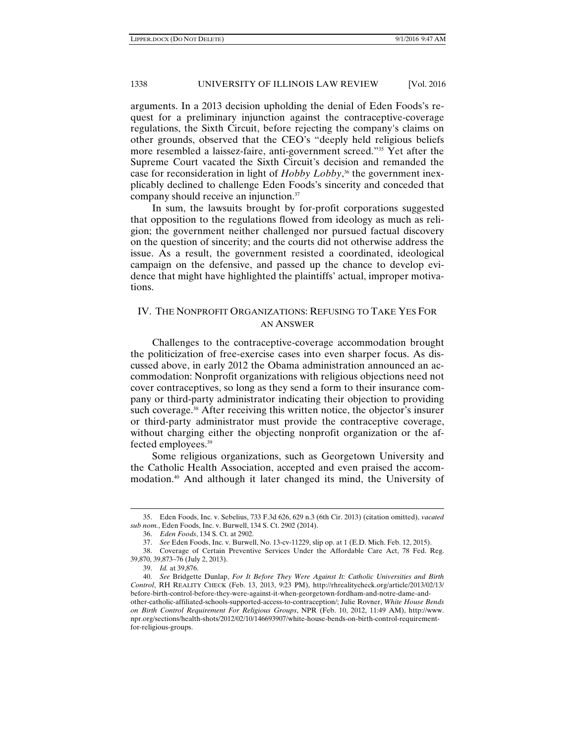arguments. In a 2013 decision upholding the denial of Eden Foods's request for a preliminary injunction against the contraceptive-coverage regulations, the Sixth Circuit, before rejecting the company's claims on other grounds, observed that the CEO's "deeply held religious beliefs more resembled a laissez-faire, anti-government screed."35 Yet after the Supreme Court vacated the Sixth Circuit's decision and remanded the case for reconsideration in light of *Hobby Lobby*, 36 the government inexplicably declined to challenge Eden Foods's sincerity and conceded that company should receive an injunction.37

In sum, the lawsuits brought by for-profit corporations suggested that opposition to the regulations flowed from ideology as much as religion; the government neither challenged nor pursued factual discovery on the question of sincerity; and the courts did not otherwise address the issue. As a result, the government resisted a coordinated, ideological campaign on the defensive, and passed up the chance to develop evidence that might have highlighted the plaintiffs' actual, improper motivations.

## IV. THE NONPROFIT ORGANIZATIONS: REFUSING TO TAKE YES FOR AN ANSWER

Challenges to the contraceptive-coverage accommodation brought the politicization of free-exercise cases into even sharper focus. As discussed above, in early 2012 the Obama administration announced an accommodation: Nonprofit organizations with religious objections need not cover contraceptives, so long as they send a form to their insurance company or third-party administrator indicating their objection to providing such coverage.<sup>38</sup> After receiving this written notice, the objector's insurer or third-party administrator must provide the contraceptive coverage, without charging either the objecting nonprofit organization or the affected employees.39

Some religious organizations, such as Georgetown University and the Catholic Health Association, accepted and even praised the accommodation.40 And although it later changed its mind, the University of

<sup>35.</sup> Eden Foods, Inc. v. Sebelius, 733 F.3d 626, 629 n.3 (6th Cir. 2013) (citation omitted), *vacated sub nom.*, Eden Foods, Inc. v. Burwell, 134 S. Ct. 2902 (2014).

 <sup>36.</sup> *Eden Foods*, 134 S. Ct. at 2902.

 <sup>37.</sup> *See* Eden Foods, Inc. v. Burwell, No. 13-cv-11229, slip op. at 1 (E.D. Mich. Feb. 12, 2015).

 <sup>38.</sup> Coverage of Certain Preventive Services Under the Affordable Care Act, 78 Fed. Reg. 39,870, 39,873–76 (July 2, 2013).

 <sup>39.</sup> *Id.* at 39,876.

 <sup>40.</sup> *See* Bridgette Dunlap, *For It Before They Were Against It: Catholic Universities and Birth Control*, RH REALITY CHECK (Feb. 13, 2013, 9:23 PM), http://rhrealitycheck.org/article/2013/02/13/ before-birth-control-before-they-were-against-it-when-georgetown-fordham-and-notre-dame-andother-catholic-affiliated-schools-supported-access-to-contraception/; Julie Rovner, *White House Bends on Birth Control Requirement For Religious Groups*, NPR (Feb. 10, 2012, 11:49 AM), http://www. npr.org/sections/health-shots/2012/02/10/146693907/white-house-bends-on-birth-control-requirementfor-religious-groups.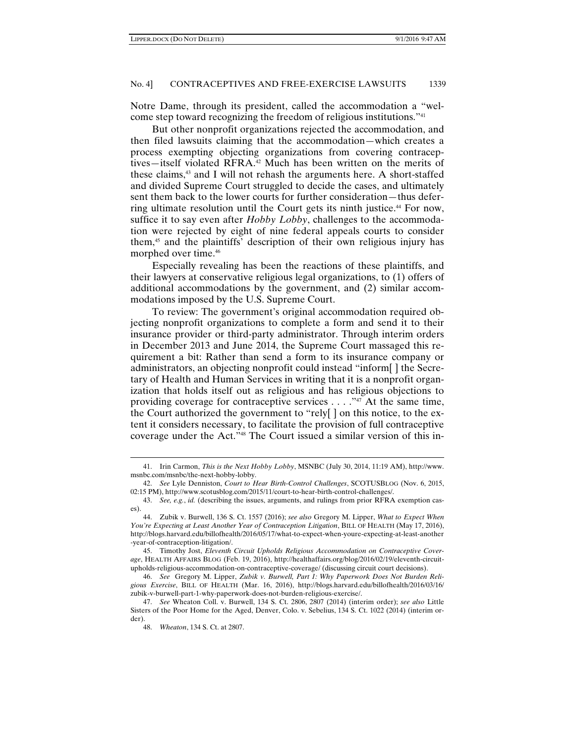Notre Dame, through its president, called the accommodation a "welcome step toward recognizing the freedom of religious institutions."41

But other nonprofit organizations rejected the accommodation, and then filed lawsuits claiming that the accommodation—which creates a process exemptin*g* objecting organizations from covering contraceptives—itself violated RFRA.42 Much has been written on the merits of these claims,43 and I will not rehash the arguments here. A short-staffed and divided Supreme Court struggled to decide the cases, and ultimately sent them back to the lower courts for further consideration—thus deferring ultimate resolution until the Court gets its ninth justice.44 For now, suffice it to say even after *Hobby Lobby*, challenges to the accommodation were rejected by eight of nine federal appeals courts to consider them,45 and the plaintiffs' description of their own religious injury has morphed over time.46

Especially revealing has been the reactions of these plaintiffs, and their lawyers at conservative religious legal organizations, to (1) offers of additional accommodations by the government, and (2) similar accommodations imposed by the U.S. Supreme Court.

To review: The government's original accommodation required objecting nonprofit organizations to complete a form and send it to their insurance provider or third-party administrator. Through interim orders in December 2013 and June 2014, the Supreme Court massaged this requirement a bit: Rather than send a form to its insurance company or administrators, an objecting nonprofit could instead "inform[ ] the Secretary of Health and Human Services in writing that it is a nonprofit organization that holds itself out as religious and has religious objections to providing coverage for contraceptive services . . . . "47 At the same time, the Court authorized the government to "rely[ ] on this notice, to the extent it considers necessary, to facilitate the provision of full contraceptive coverage under the Act."48 The Court issued a similar version of this in-

<sup>41.</sup> Irin Carmon, *This is the Next Hobby Lobby*, MSNBC (July 30, 2014, 11:19 AM), http://www. msnbc.com/msnbc/the-next-hobby-lobby.

 <sup>42.</sup> *See* Lyle Denniston, *Court to Hear Birth-Control Challenges*, SCOTUSBLOG (Nov. 6, 2015, 02:15 PM), http://www.scotusblog.com/2015/11/court-to-hear-birth-control-challenges/.

 <sup>43.</sup> *See, e.g.*, *id.* (describing the issues, arguments, and rulings from prior RFRA exemption cases).

 <sup>44.</sup> Zubik v. Burwell, 136 S. Ct. 1557 (2016); *see also* Gregory M. Lipper, *What to Expect When You're Expecting at Least Another Year of Contraception Litigation*, BILL OF HEALTH (May 17, 2016), http://blogs.harvard.edu/billofhealth/2016/05/17/what-to-expect-when-youre-expecting-at-least-another -year-of-contraception-litigation/.

 <sup>45.</sup> Timothy Jost, *Eleventh Circuit Upholds Religious Accommodation on Contraceptive Coverage*, HEALTH AFFAIRS BLOG (Feb. 19, 2016), http://healthaffairs.org/blog/2016/02/19/eleventh-circuitupholds-religious-accommodation-on-contraceptive-coverage/ (discussing circuit court decisions).

 <sup>46.</sup> *See* Gregory M. Lipper, *Zubik v. Burwell, Part 1: Why Paperwork Does Not Burden Religious Exercise*, BILL OF HEALTH (Mar. 16, 2016), http://blogs.harvard.edu/billofhealth/2016/03/16/ zubik-v-burwell-part-1-why-paperwork-does-not-burden-religious-exercise/.

 <sup>47.</sup> *See* Wheaton Coll. v. Burwell, 134 S. Ct. 2806, 2807 (2014) (interim order); *see also* Little Sisters of the Poor Home for the Aged, Denver, Colo. v. Sebelius, 134 S. Ct. 1022 (2014) (interim order).

 <sup>48.</sup> *Wheaton*, 134 S. Ct. at 2807.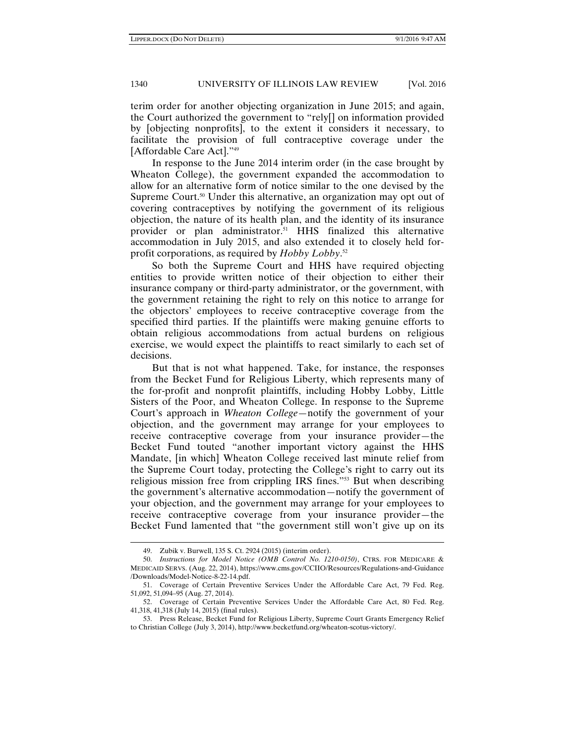terim order for another objecting organization in June 2015; and again, the Court authorized the government to "rely[] on information provided by [objecting nonprofits], to the extent it considers it necessary, to facilitate the provision of full contraceptive coverage under the [Affordable Care Act]."49

In response to the June 2014 interim order (in the case brought by Wheaton College), the government expanded the accommodation to allow for an alternative form of notice similar to the one devised by the Supreme Court.<sup>50</sup> Under this alternative, an organization may opt out of covering contraceptives by notifying the government of its religious objection, the nature of its health plan, and the identity of its insurance provider or plan administrator.51 HHS finalized this alternative accommodation in July 2015, and also extended it to closely held forprofit corporations, as required by *Hobby Lobby*. 52

So both the Supreme Court and HHS have required objecting entities to provide written notice of their objection to either their insurance company or third-party administrator, or the government, with the government retaining the right to rely on this notice to arrange for the objectors' employees to receive contraceptive coverage from the specified third parties. If the plaintiffs were making genuine efforts to obtain religious accommodations from actual burdens on religious exercise, we would expect the plaintiffs to react similarly to each set of decisions.

But that is not what happened. Take, for instance, the responses from the Becket Fund for Religious Liberty, which represents many of the for-profit and nonprofit plaintiffs, including Hobby Lobby, Little Sisters of the Poor, and Wheaton College. In response to the Supreme Court's approach in *Wheaton College*—notify the government of your objection, and the government may arrange for your employees to receive contraceptive coverage from your insurance provider—the Becket Fund touted "another important victory against the HHS Mandate, [in which] Wheaton College received last minute relief from the Supreme Court today, protecting the College's right to carry out its religious mission free from crippling IRS fines."53 But when describing the government's alternative accommodation—notify the government of your objection, and the government may arrange for your employees to receive contraceptive coverage from your insurance provider—the Becket Fund lamented that "the government still won't give up on its

<sup>49.</sup> Zubik v. Burwell, 135 S. Ct. 2924 (2015) (interim order).

 <sup>50.</sup> *Instructions for Model Notice (OMB Control No. 1210-0150)*, CTRS. FOR MEDICARE & MEDICAID SERVS. (Aug. 22, 2014), https://www.cms.gov/CCIIO/Resources/Regulations-and-Guidance /Downloads/Model-Notice-8-22-14.pdf.

 <sup>51.</sup> Coverage of Certain Preventive Services Under the Affordable Care Act, 79 Fed. Reg. 51,092, 51,094–95 (Aug. 27, 2014).

 <sup>52.</sup> Coverage of Certain Preventive Services Under the Affordable Care Act, 80 Fed. Reg. 41,318, 41,318 (July 14, 2015) (final rules).

 <sup>53.</sup> Press Release, Becket Fund for Religious Liberty, Supreme Court Grants Emergency Relief to Christian College (July 3, 2014), http://www.becketfund.org/wheaton-scotus-victory/.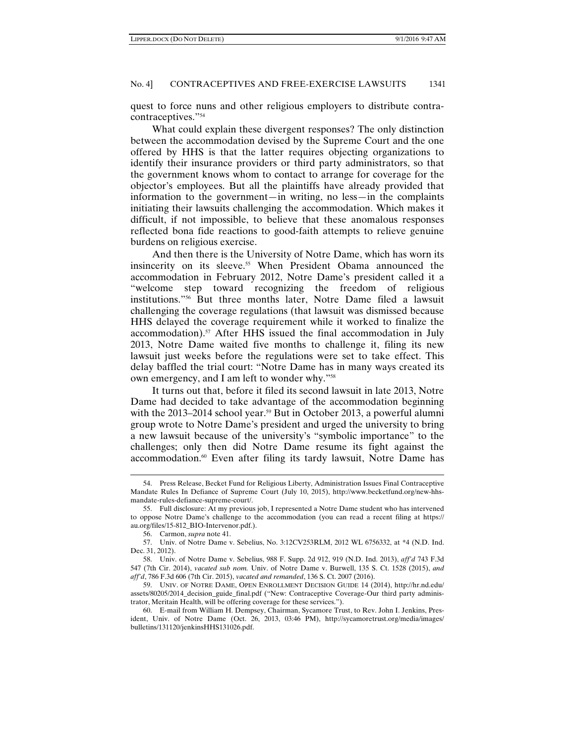quest to force nuns and other religious employers to distribute contracontraceptives."54

What could explain these divergent responses? The only distinction between the accommodation devised by the Supreme Court and the one offered by HHS is that the latter requires objecting organizations to identify their insurance providers or third party administrators, so that the government knows whom to contact to arrange for coverage for the objector's employees. But all the plaintiffs have already provided that information to the government—in writing, no less—in the complaints initiating their lawsuits challenging the accommodation. Which makes it difficult, if not impossible, to believe that these anomalous responses reflected bona fide reactions to good-faith attempts to relieve genuine burdens on religious exercise.

And then there is the University of Notre Dame, which has worn its insincerity on its sleeve.<sup>55</sup> When President Obama announced the accommodation in February 2012, Notre Dame's president called it a "welcome step toward recognizing the freedom of religious institutions."56 But three months later, Notre Dame filed a lawsuit challenging the coverage regulations (that lawsuit was dismissed because HHS delayed the coverage requirement while it worked to finalize the accommodation).<sup>57</sup> After HHS issued the final accommodation in July 2013, Notre Dame waited five months to challenge it, filing its new lawsuit just weeks before the regulations were set to take effect. This delay baffled the trial court: "Notre Dame has in many ways created its own emergency, and I am left to wonder why."58

It turns out that, before it filed its second lawsuit in late 2013, Notre Dame had decided to take advantage of the accommodation beginning with the 2013–2014 school year.<sup>59</sup> But in October 2013, a powerful alumni group wrote to Notre Dame's president and urged the university to bring a new lawsuit because of the university's "symbolic importance" to the challenges; only then did Notre Dame resume its fight against the accommodation.<sup>60</sup> Even after filing its tardy lawsuit, Notre Dame has

<sup>54.</sup> Press Release, Becket Fund for Religious Liberty, Administration Issues Final Contraceptive Mandate Rules In Defiance of Supreme Court (July 10, 2015), http://www.becketfund.org/new-hhsmandate-rules-defiance-supreme-court/.

 <sup>55.</sup> Full disclosure: At my previous job, I represented a Notre Dame student who has intervened to oppose Notre Dame's challenge to the accommodation (you can read a recent filing at https:// au.org/files/15-812\_BIO-Intervenor.pdf.).

 <sup>56.</sup> Carmon, *supra* note 41.

 <sup>57.</sup> Univ. of Notre Dame v. Sebelius, No. 3:12CV253RLM, 2012 WL 6756332, at \*4 (N.D. Ind. Dec. 31, 2012).

 <sup>58.</sup> Univ. of Notre Dame v. Sebelius, 988 F. Supp. 2d 912, 919 (N.D. Ind. 2013), *aff'd* 743 F.3d 547 (7th Cir. 2014), *vacated sub nom.* Univ. of Notre Dame v. Burwell, 135 S. Ct. 1528 (2015), *and aff'd*, 786 F.3d 606 (7th Cir. 2015), *vacated and remanded*, 136 S. Ct. 2007 (2016).

 <sup>59.</sup> UNIV. OF NOTRE DAME, OPEN ENROLLMENT DECISION GUIDE 14 (2014), http://hr.nd.edu/ assets/80205/2014\_decision\_guide\_final.pdf ("New: Contraceptive Coverage-Our third party administrator, Meritain Health, will be offering coverage for these services.").

 <sup>60.</sup> E-mail from William H. Dempsey, Chairman, Sycamore Trust, to Rev. John I. Jenkins, President, Univ. of Notre Dame (Oct. 26, 2013, 03:46 PM), http://sycamoretrust.org/media/images/ bulletins/131120/jenkinsHHS131026.pdf.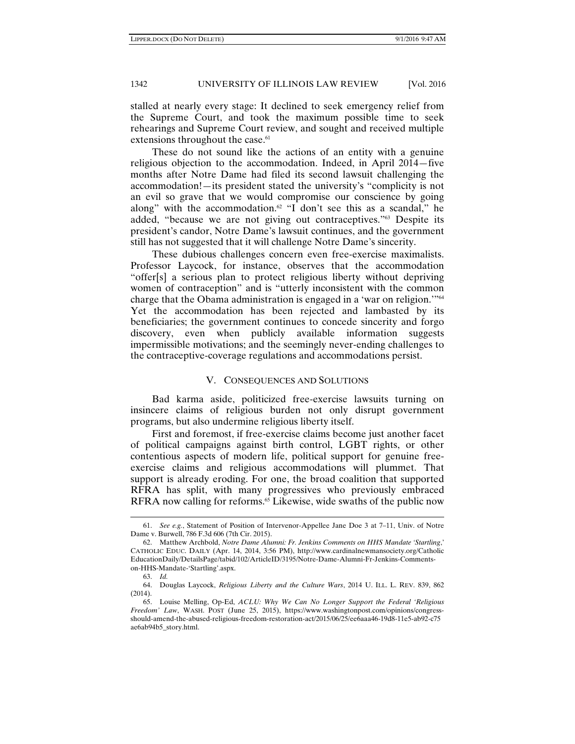stalled at nearly every stage: It declined to seek emergency relief from the Supreme Court, and took the maximum possible time to seek rehearings and Supreme Court review, and sought and received multiple extensions throughout the case.<sup>61</sup>

These do not sound like the actions of an entity with a genuine religious objection to the accommodation. Indeed, in April 2014—five months after Notre Dame had filed its second lawsuit challenging the accommodation!—its president stated the university's "complicity is not an evil so grave that we would compromise our conscience by going along" with the accommodation.<sup>62</sup> "I don't see this as a scandal," he added, "because we are not giving out contraceptives."63 Despite its president's candor, Notre Dame's lawsuit continues, and the government still has not suggested that it will challenge Notre Dame's sincerity.

These dubious challenges concern even free-exercise maximalists. Professor Laycock, for instance, observes that the accommodation "offer[s] a serious plan to protect religious liberty without depriving women of contraception" and is "utterly inconsistent with the common charge that the Obama administration is engaged in a 'war on religion.'"64 Yet the accommodation has been rejected and lambasted by its beneficiaries; the government continues to concede sincerity and forgo discovery, even when publicly available information suggests impermissible motivations; and the seemingly never-ending challenges to the contraceptive-coverage regulations and accommodations persist.

#### V. CONSEQUENCES AND SOLUTIONS

Bad karma aside, politicized free-exercise lawsuits turning on insincere claims of religious burden not only disrupt government programs, but also undermine religious liberty itself.

First and foremost, if free-exercise claims become just another facet of political campaigns against birth control, LGBT rights, or other contentious aspects of modern life, political support for genuine freeexercise claims and religious accommodations will plummet. That support is already eroding. For one, the broad coalition that supported RFRA has split, with many progressives who previously embraced RFRA now calling for reforms.<sup>65</sup> Likewise, wide swaths of the public now

<sup>61.</sup> *See e.g.*, Statement of Position of Intervenor-Appellee Jane Doe 3 at 7–11, Univ. of Notre Dame v. Burwell, 786 F.3d 606 (7th Cir. 2015).

 <sup>62.</sup> Matthew Archbold, *Notre Dame Alumni: Fr. Jenkins Comments on HHS Mandate 'Startling*,' CATHOLIC EDUC. DAILY (Apr. 14, 2014, 3:56 PM), http://www.cardinalnewmansociety.org/Catholic EducationDaily/DetailsPage/tabid/102/ArticleID/3195/Notre-Dame-Alumni-Fr-Jenkins-Commentson-HHS-Mandate-'Startling'.aspx.

 <sup>63.</sup> *Id.*

 <sup>64.</sup> Douglas Laycock, *Religious Liberty and the Culture Wars*, 2014 U. ILL. L. REV. 839, 862 (2014).

 <sup>65.</sup> Louise Melling, Op-Ed, *ACLU: Why We Can No Longer Support the Federal 'Religious Freedom' Law*, WASH. POST (June 25, 2015), https://www.washingtonpost.com/opinions/congressshould-amend-the-abused-religious-freedom-restoration-act/2015/06/25/ee6aaa46-19d8-11e5-ab92-c75 ae6ab94b5\_story.html.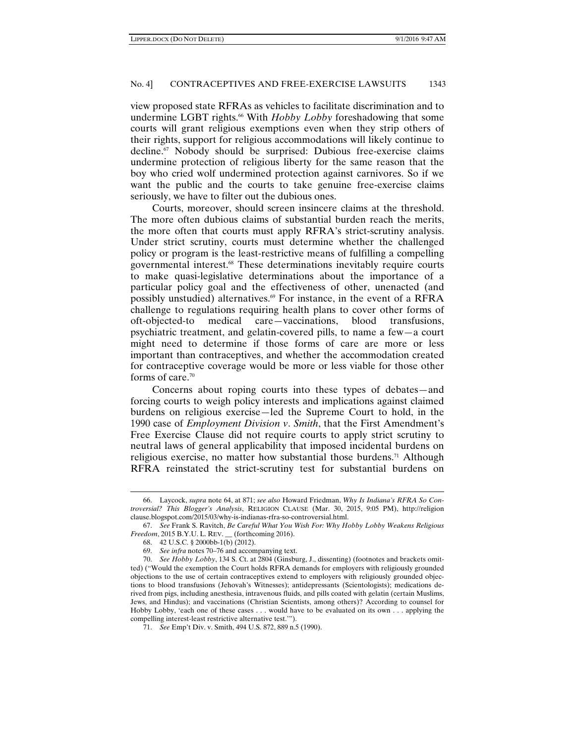view proposed state RFRAs as vehicles to facilitate discrimination and to undermine LGBT rights.<sup>66</sup> With *Hobby Lobby* foreshadowing that some courts will grant religious exemptions even when they strip others of their rights, support for religious accommodations will likely continue to decline.67 Nobody should be surprised: Dubious free-exercise claims undermine protection of religious liberty for the same reason that the boy who cried wolf undermined protection against carnivores. So if we want the public and the courts to take genuine free-exercise claims seriously, we have to filter out the dubious ones.

Courts, moreover, should screen insincere claims at the threshold. The more often dubious claims of substantial burden reach the merits, the more often that courts must apply RFRA's strict-scrutiny analysis. Under strict scrutiny, courts must determine whether the challenged policy or program is the least-restrictive means of fulfilling a compelling governmental interest.68 These determinations inevitably require courts to make quasi-legislative determinations about the importance of a particular policy goal and the effectiveness of other, unenacted (and possibly unstudied) alternatives.69 For instance, in the event of a RFRA challenge to regulations requiring health plans to cover other forms of oft-objected-to medical care—vaccinations, blood transfusions, psychiatric treatment, and gelatin-covered pills, to name a few—a court might need to determine if those forms of care are more or less important than contraceptives, and whether the accommodation created for contraceptive coverage would be more or less viable for those other forms of care. $70$ 

Concerns about roping courts into these types of debates—and forcing courts to weigh policy interests and implications against claimed burdens on religious exercise—led the Supreme Court to hold, in the 1990 case of *Employment Division v*. *Smith*, that the First Amendment's Free Exercise Clause did not require courts to apply strict scrutiny to neutral laws of general applicability that imposed incidental burdens on religious exercise, no matter how substantial those burdens.<sup>71</sup> Although RFRA reinstated the strict-scrutiny test for substantial burdens on

<sup>66.</sup> Laycock, *supra* note 64, at 871; *see also* Howard Friedman, *Why Is Indiana's RFRA So Controversial? This Blogger's Analysis*, RELIGION CLAUSE (Mar. 30, 2015, 9:05 PM), http://religion clause.blogspot.com/2015/03/why-is-indianas-rfra-so-controversial.html.

 <sup>67.</sup> *See* Frank S. Ravitch, *Be Careful What You Wish For: Why Hobby Lobby Weakens Religious Freedom*, 2015 B.Y.U. L. REV. (forthcoming 2016).

 <sup>68. 42</sup> U.S.C. § 2000bb-1(b) (2012).

 <sup>69.</sup> *See infra* notes 70–76 and accompanying text.

 <sup>70.</sup> *See Hobby Lobby*, 134 S. Ct. at 2804 (Ginsburg, J., dissenting) (footnotes and brackets omitted) ("Would the exemption the Court holds RFRA demands for employers with religiously grounded objections to the use of certain contraceptives extend to employers with religiously grounded objections to blood transfusions (Jehovah's Witnesses); antidepressants (Scientologists); medications derived from pigs, including anesthesia, intravenous fluids, and pills coated with gelatin (certain Muslims, Jews, and Hindus); and vaccinations (Christian Scientists, among others)? According to counsel for Hobby Lobby, 'each one of these cases . . . would have to be evaluated on its own . . . applying the compelling interest-least restrictive alternative test.'").

 <sup>71.</sup> *See* Emp't Div. v. Smith, 494 U.S. 872, 889 n.5 (1990).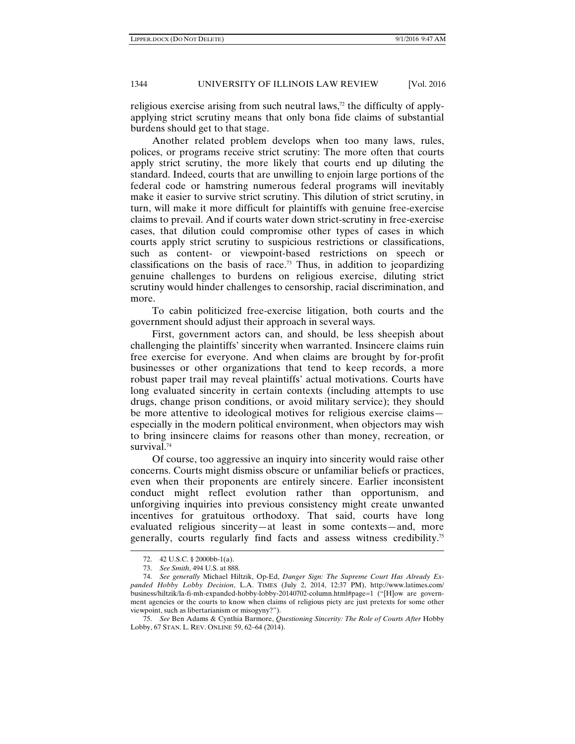religious exercise arising from such neutral laws, $72$  the difficulty of applyapplying strict scrutiny means that only bona fide claims of substantial burdens should get to that stage.

Another related problem develops when too many laws, rules, polices, or programs receive strict scrutiny: The more often that courts apply strict scrutiny, the more likely that courts end up diluting the standard. Indeed, courts that are unwilling to enjoin large portions of the federal code or hamstring numerous federal programs will inevitably make it easier to survive strict scrutiny. This dilution of strict scrutiny, in turn, will make it more difficult for plaintiffs with genuine free-exercise claims to prevail. And if courts water down strict-scrutiny in free-exercise cases, that dilution could compromise other types of cases in which courts apply strict scrutiny to suspicious restrictions or classifications, such as content- or viewpoint-based restrictions on speech or classifications on the basis of race.<sup>73</sup> Thus, in addition to jeopardizing genuine challenges to burdens on religious exercise, diluting strict scrutiny would hinder challenges to censorship, racial discrimination, and more.

To cabin politicized free-exercise litigation, both courts and the government should adjust their approach in several ways.

First, government actors can, and should, be less sheepish about challenging the plaintiffs' sincerity when warranted. Insincere claims ruin free exercise for everyone. And when claims are brought by for-profit businesses or other organizations that tend to keep records, a more robust paper trail may reveal plaintiffs' actual motivations. Courts have long evaluated sincerity in certain contexts (including attempts to use drugs, change prison conditions, or avoid military service); they should be more attentive to ideological motives for religious exercise claims especially in the modern political environment, when objectors may wish to bring insincere claims for reasons other than money, recreation, or survival.<sup>74</sup>

Of course, too aggressive an inquiry into sincerity would raise other concerns. Courts might dismiss obscure or unfamiliar beliefs or practices, even when their proponents are entirely sincere. Earlier inconsistent conduct might reflect evolution rather than opportunism, and unforgiving inquiries into previous consistency might create unwanted incentives for gratuitous orthodoxy. That said, courts have long evaluated religious sincerity—at least in some contexts—and, more generally, courts regularly find facts and assess witness credibility.75

<sup>72. 42</sup> U.S.C. § 2000bb-1(a).

 <sup>73.</sup> *See Smith*, 494 U.S. at 888.

 <sup>74.</sup> *See generally* Michael Hiltzik, Op-Ed, *Danger Sign: The Supreme Court Has Already Expanded Hobby Lobby Decision*, L.A. TIMES (July 2, 2014, 12:37 PM), http://www.latimes.com/ business/hiltzik/la-fi-mh-expanded-hobby-lobby-20140702-column.html#page=1 ("[H]ow are government agencies or the courts to know when claims of religious piety are just pretexts for some other viewpoint, such as libertarianism or misogyny?").

 <sup>75.</sup> *See* Ben Adams & Cynthia Barmore, *Questioning Sincerity: The Role of Courts After* Hobby Lobby, 67 STAN. L. REV. ONLINE 59, 62–64 (2014).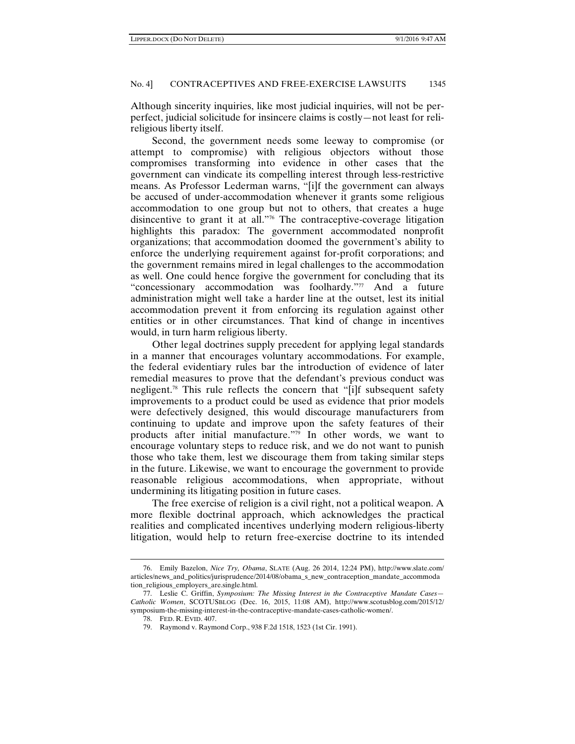Although sincerity inquiries, like most judicial inquiries, will not be perperfect, judicial solicitude for insincere claims is costly—not least for relireligious liberty itself.

Second, the government needs some leeway to compromise (or attempt to compromise) with religious objectors without those compromises transforming into evidence in other cases that the government can vindicate its compelling interest through less-restrictive means. As Professor Lederman warns, "[i]f the government can always be accused of under-accommodation whenever it grants some religious accommodation to one group but not to others, that creates a huge disincentive to grant it at all."76 The contraceptive-coverage litigation highlights this paradox: The government accommodated nonprofit organizations; that accommodation doomed the government's ability to enforce the underlying requirement against for-profit corporations; and the government remains mired in legal challenges to the accommodation as well. One could hence forgive the government for concluding that its "concessionary accommodation was foolhardy."77 And a future administration might well take a harder line at the outset, lest its initial accommodation prevent it from enforcing its regulation against other entities or in other circumstances. That kind of change in incentives would, in turn harm religious liberty.

Other legal doctrines supply precedent for applying legal standards in a manner that encourages voluntary accommodations. For example, the federal evidentiary rules bar the introduction of evidence of later remedial measures to prove that the defendant's previous conduct was negligent.78 This rule reflects the concern that "[i]f subsequent safety improvements to a product could be used as evidence that prior models were defectively designed, this would discourage manufacturers from continuing to update and improve upon the safety features of their products after initial manufacture."79 In other words, we want to encourage voluntary steps to reduce risk, and we do not want to punish those who take them, lest we discourage them from taking similar steps in the future. Likewise, we want to encourage the government to provide reasonable religious accommodations, when appropriate, without undermining its litigating position in future cases.

The free exercise of religion is a civil right, not a political weapon. A more flexible doctrinal approach, which acknowledges the practical realities and complicated incentives underlying modern religious-liberty litigation, would help to return free-exercise doctrine to its intended

<sup>76.</sup> Emily Bazelon, *Nice Try, Obama*, SLATE (Aug. 26 2014, 12:24 PM), http://www.slate.com/ articles/news\_and\_politics/jurisprudence/2014/08/obama\_s\_new\_contraception\_mandate\_accommoda tion\_religious\_employers\_are.single.html.

 <sup>77.</sup> Leslie C. Griffin, *Symposium: The Missing Interest in the Contraceptive Mandate Cases— Catholic Women*, SCOTUSBLOG (Dec. 16, 2015, 11:08 AM), http://www.scotusblog.com/2015/12/ symposium-the-missing-interest-in-the-contraceptive-mandate-cases-catholic-women/.

 <sup>78.</sup> FED. R. EVID. 407.

 <sup>79.</sup> Raymond v. Raymond Corp., 938 F.2d 1518, 1523 (1st Cir. 1991).